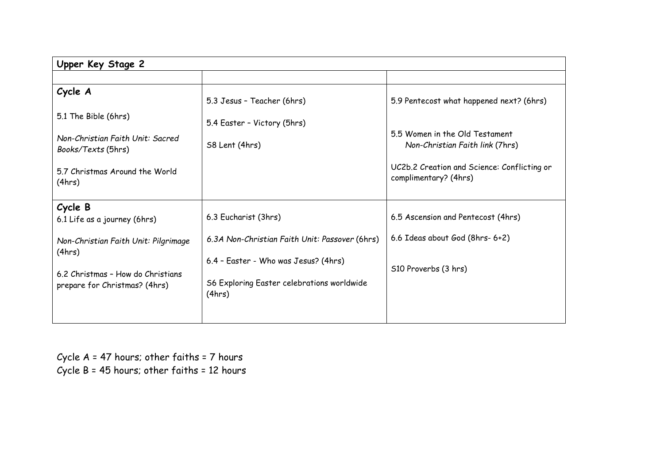| Upper Key Stage 2                                                  |                                                                                        |                                                                      |  |  |  |
|--------------------------------------------------------------------|----------------------------------------------------------------------------------------|----------------------------------------------------------------------|--|--|--|
|                                                                    |                                                                                        |                                                                      |  |  |  |
| Cycle A                                                            | 5.3 Jesus - Teacher (6hrs)                                                             | 5.9 Pentecost what happened next? (6hrs)                             |  |  |  |
| 5.1 The Bible (6hrs)                                               | 5.4 Easter - Victory (5hrs)                                                            |                                                                      |  |  |  |
| Non-Christian Faith Unit: Sacred<br>Books/Texts (5hrs)             | S8 Lent (4hrs)                                                                         | 5.5 Women in the Old Testament<br>Non-Christian Faith link (7hrs)    |  |  |  |
| 5.7 Christmas Around the World<br>(4hrs)                           |                                                                                        | UC2b.2 Creation and Science: Conflicting or<br>complimentary? (4hrs) |  |  |  |
| Cycle B<br>6.1 Life as a journey (6hrs)                            | 6.3 Eucharist (3hrs)                                                                   | 6.5 Ascension and Pentecost (4hrs)                                   |  |  |  |
| Non-Christian Faith Unit: Pilgrimage<br>(4hrs)                     | 6.3A Non-Christian Faith Unit: Passover (6hrs)<br>6.4 - Easter - Who was Jesus? (4hrs) | 6.6 Ideas about God (8hrs- 6+2)                                      |  |  |  |
| 6.2 Christmas - How do Christians<br>prepare for Christmas? (4hrs) | S6 Exploring Easter celebrations worldwide<br>(4hrs)                                   | S10 Proverbs (3 hrs)                                                 |  |  |  |
|                                                                    |                                                                                        |                                                                      |  |  |  |

Cycle A = 47 hours; other faiths = 7 hours Cycle B = 45 hours; other faiths = 12 hours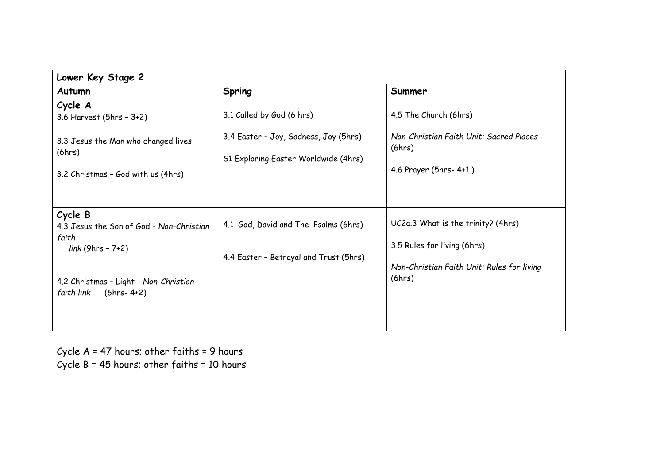| Lower Key Stage 2                                                                  |                                                                                |                                                                                                                 |  |  |
|------------------------------------------------------------------------------------|--------------------------------------------------------------------------------|-----------------------------------------------------------------------------------------------------------------|--|--|
| Autumn                                                                             | Spring                                                                         | Summer                                                                                                          |  |  |
| Cycle A<br>3.6 Harvest (5hrs - 3+2)<br>3.3 Jesus the Man who changed lives         | 3.1 Called by God (6 hrs)<br>3.4 Easter - Joy, Sadness, Joy (5hrs)             | 4.5 The Church (6hrs)<br>Non-Christian Faith Unit: Sacred Places                                                |  |  |
| (6hrs)<br>3.2 Christmas - God with us (4hrs)                                       | S1 Exploring Easter Worldwide (4hrs)                                           | (6hrs)<br>4.6 Prayer (5hrs- 4+1)                                                                                |  |  |
| Cycle B<br>4.3 Jesus the Son of God - Non-Christian<br>faith<br>$link(9hrs - 7+2)$ | 4.1 God, David and The Psalms (6hrs)<br>4.4 Easter - Betrayal and Trust (5hrs) | UC2a.3 What is the trinity? (4hrs)<br>3.5 Rules for living (6hrs)<br>Non-Christian Faith Unit: Rules for living |  |  |
| 4.2 Christmas - Light - Non-Christian<br>$(6hrs - 4+2)$<br>faith link              |                                                                                | (6hrs)                                                                                                          |  |  |

Cycle A = 47 hours; other faiths = 9 hours Cycle B = 45 hours; other faiths = 10 hours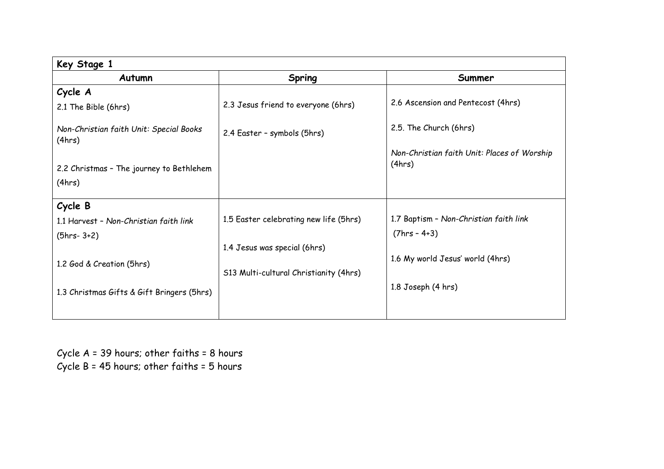| Key Stage 1                                        |                                        |                                                       |  |  |
|----------------------------------------------------|----------------------------------------|-------------------------------------------------------|--|--|
| Autumn                                             | Spring                                 | Summer                                                |  |  |
| Cycle A                                            |                                        |                                                       |  |  |
| 2.1 The Bible (6hrs)                               | 2.3 Jesus friend to everyone (6hrs)    | 2.6 Ascension and Pentecost (4hrs)                    |  |  |
| Non-Christian faith Unit: Special Books<br>(4hrs)  | 2.4 Easter - symbols (5hrs)            | 2.5. The Church (6hrs)                                |  |  |
| 2.2 Christmas - The journey to Bethlehem<br>(4hrs) |                                        | Non-Christian faith Unit: Places of Worship<br>(4hrs) |  |  |
| Cycle B                                            |                                        |                                                       |  |  |
| 1.1 Harvest - Non-Christian faith link             | 1.5 Easter celebrating new life (5hrs) | 1.7 Baptism - Non-Christian faith link                |  |  |
| $(5hrs - 3+2)$                                     |                                        | $(7hrs - 4+3)$                                        |  |  |
|                                                    | 1.4 Jesus was special (6hrs)           |                                                       |  |  |
| 1.2 God & Creation (5hrs)                          |                                        | 1.6 My world Jesus' world (4hrs)                      |  |  |
|                                                    | S13 Multi-cultural Christianity (4hrs) |                                                       |  |  |
| 1.3 Christmas Gifts & Gift Bringers (5hrs)         |                                        | 1.8 Joseph (4 hrs)                                    |  |  |
|                                                    |                                        |                                                       |  |  |

Cycle A = 39 hours; other faiths = 8 hours Cycle  $B = 45$  hours; other faiths =  $5$  hours